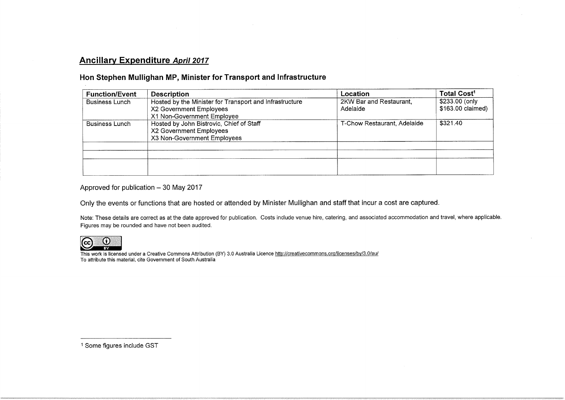# Ancillary Expenditure April 2017

# Hon Stephen Mullighan MP, Minister for Transport and Infrastructure

| <b>Function/Event</b> | <b>Description</b>                                      | Location                    | Total Cost <sup>1</sup> |
|-----------------------|---------------------------------------------------------|-----------------------------|-------------------------|
| <b>Business Lunch</b> | Hosted by the Minister for Transport and Infrastructure | 2KW Bar and Restaurant,     | \$233.00 (only          |
|                       | X2 Government Employees                                 | Adelaide                    | \$163.00 claimed)       |
|                       | X1 Non-Government Employee                              |                             |                         |
| <b>Business Lunch</b> | Hosted by John Bistrovic, Chief of Staff                | T-Chow Restaurant, Adelaide | \$321.40                |
|                       | X2 Government Employees                                 |                             |                         |
|                       | X3 Non-Government Employees                             |                             |                         |
|                       |                                                         |                             |                         |
|                       |                                                         |                             |                         |
|                       |                                                         |                             |                         |
|                       |                                                         |                             |                         |

Approved for publication  $-30$  May 2017

Only the events or functions that are hosted or attended by Minister Mullighan and staff that incur a cost are captured.

Note: These details are correct as at the date approved for publication. Costs include venue hire, catering, and associated accommodation and travel, where applicable. Figures may be rounded and have not been audited.



This work is licensed under a Creative Commons Attribution (BY) 3.0 Australia Licence <u>http://creativecommons.org/licenses/by/3.0/au/</u> To attribute this material, cite Government of South Australia

<sup>1</sup> Some figures include GST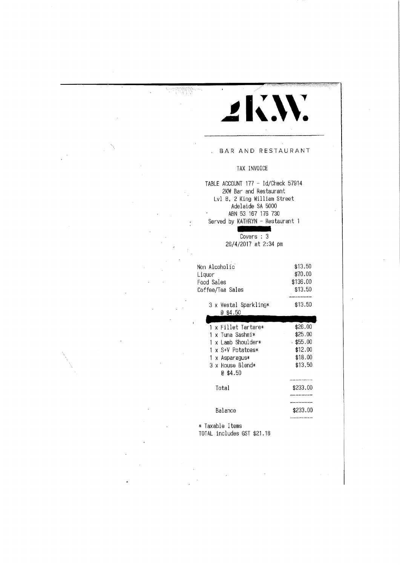# $\mathbf{d} \mathbf{X}$

#### BAR AND RESTAURANT

# TAX INVOICE

TABLE ACCOUNT 177 - Id/Chack 57914 2KW Bar- and Restaurant Lvl 8. 2 King William Street Adelaide SA 5000 ABN 53 167 176 730 Served by KATHRYN - Restaurant 1

> Covers : 3 26/4/2017 at 2:34 pm

| Non Alcoholic<br>Liquor<br>Food Sales<br>Coffee/Tea Sales | \$13,50<br>\$70.00<br>\$136.00<br>\$13.50 |
|-----------------------------------------------------------|-------------------------------------------|
| 3 x Vestal Sparkling*<br>@ \$4.50                         | \$13.50                                   |
|                                                           |                                           |
| 1 x Fillet Tartare*                                       | \$26.00                                   |
| 1 x Tuna Sashmi∗                                          | \$25.00                                   |
| 1 x Lamb Shoulder*                                        | $.$ \$55.00                               |
| 1 x S+V Potatoes*                                         | \$12.00                                   |
| 1 x Asparagus*                                            | \$18.00                                   |
| 3 x House Blend*                                          | \$13,50                                   |
| 0 \$4.50                                                  |                                           |
|                                                           |                                           |
| Total                                                     | \$233.00                                  |
|                                                           |                                           |
|                                                           |                                           |
| Balance                                                   | \$233.00                                  |
|                                                           |                                           |

\* Taxable Items TOTAL includes GST \$21.18